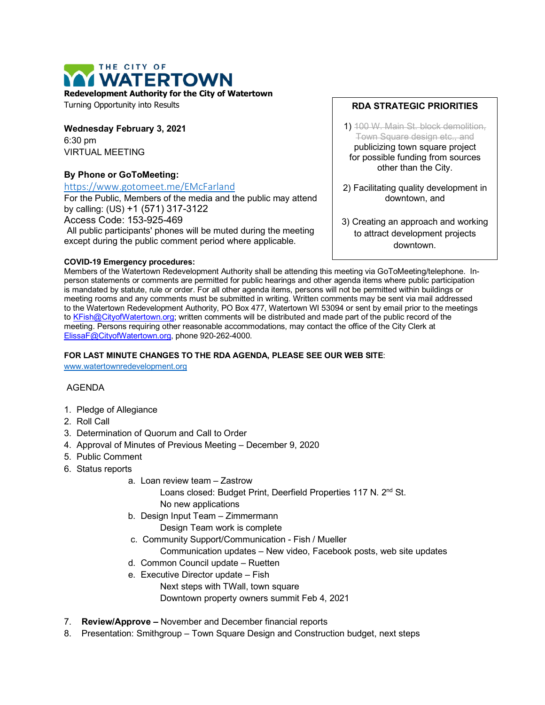

Turning Opportunity into Results

**Wednesday February 3, 2021** 6:30 pm VIRTUAL MEETING

# **By Phone or GoToMeeting:**

#### <https://www.gotomeet.me/EMcFarland>

For the Public, Members of the media and the public may attend by calling: (US) +1 (571) 317-3122

Access Code: 153-925-469

All public participants' phones will be muted during the meeting except during the public comment period where applicable.

### **COVID-19 Emergency procedures:**

## **RDA STRATEGIC PRIORITIES**

- 1) 100 W. Main St. block demolition, Town Square design etc., and publicizing town square project for possible funding from sources other than the City.
- 2) Facilitating quality development in downtown, and
- 3) Creating an approach and working to attract development projects downtown.

Members of the Watertown Redevelopment Authority shall be attending this meeting via GoToMeeting/telephone. Inperson statements or comments are permitted for public hearings and other agenda items where public participation is mandated by statute, rule or order. For all other agenda items, persons will not be permitted within buildings or meeting rooms and any comments must be submitted in writing. Written comments may be sent via mail addressed to the Watertown Redevelopment Authority, PO Box 477, Watertown WI 53094 or sent by email prior to the meetings to [KFish@CityofWatertown.org;](mailto:KFish@CityofWatertown.org) written comments will be distributed and made part of the public record of the meeting. Persons requiring other reasonable accommodations, may contact the office of the City Clerk at [ElissaF@CityofWatertown.org,](mailto:ElissaF@CityofWatertown.org) phone 920-262-4000.

## **FOR LAST MINUTE CHANGES TO THE RDA AGENDA, PLEASE SEE OUR WEB SITE**:

[www.watertownredevelopment.org](http://www.watertownredevelopment.org/)

# AGENDA

- 1. Pledge of Allegiance
- 2. Roll Call
- 3. Determination of Quorum and Call to Order
- 4. Approval of Minutes of Previous Meeting December 9, 2020
- 5. Public Comment
- 6. Status reports
	- a. Loan review team Zastrow
		- Loans closed: Budget Print, Deerfield Properties 117 N. 2<sup>nd</sup> St. No new applications
	- b. Design Input Team Zimmermann
		- Design Team work is complete
	- c. Community Support/Communication Fish / Mueller
		- Communication updates New video, Facebook posts, web site updates
	- d. Common Council update Ruetten
	- e. Executive Director update Fish
		- Next steps with TWall, town square

Downtown property owners summit Feb 4, 2021

- 7. **Review/Approve –** November and December financial reports
- 8. Presentation: Smithgroup Town Square Design and Construction budget, next steps